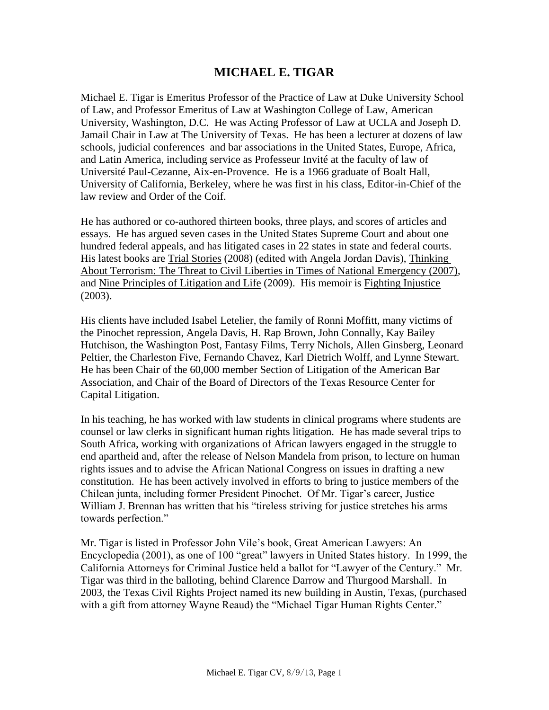# **MICHAEL E. TIGAR**

Michael E. Tigar is Emeritus Professor of the Practice of Law at Duke University School of Law, and Professor Emeritus of Law at Washington College of Law, American University, Washington, D.C. He was Acting Professor of Law at UCLA and Joseph D. Jamail Chair in Law at The University of Texas. He has been a lecturer at dozens of law schools, judicial conferences and bar associations in the United States, Europe, Africa, and Latin America, including service as Professeur Invité at the faculty of law of Université Paul-Cezanne, Aix-en-Provence. He is a 1966 graduate of Boalt Hall, University of California, Berkeley, where he was first in his class, Editor-in-Chief of the law review and Order of the Coif.

He has authored or co-authored thirteen books, three plays, and scores of articles and essays. He has argued seven cases in the United States Supreme Court and about one hundred federal appeals, and has litigated cases in 22 states in state and federal courts. His latest books are Trial Stories (2008) (edited with Angela Jordan Davis), Thinking About Terrorism: The Threat to Civil Liberties in Times of National Emergency (2007), and Nine Principles of Litigation and Life (2009). His memoir is Fighting Injustice (2003).

His clients have included Isabel Letelier, the family of Ronni Moffitt, many victims of the Pinochet repression, Angela Davis, H. Rap Brown, John Connally, Kay Bailey Hutchison, the Washington Post, Fantasy Films, Terry Nichols, Allen Ginsberg, Leonard Peltier, the Charleston Five, Fernando Chavez, Karl Dietrich Wolff, and Lynne Stewart. He has been Chair of the 60,000 member Section of Litigation of the American Bar Association, and Chair of the Board of Directors of the Texas Resource Center for Capital Litigation.

In his teaching, he has worked with law students in clinical programs where students are counsel or law clerks in significant human rights litigation. He has made several trips to South Africa, working with organizations of African lawyers engaged in the struggle to end apartheid and, after the release of Nelson Mandela from prison, to lecture on human rights issues and to advise the African National Congress on issues in drafting a new constitution. He has been actively involved in efforts to bring to justice members of the Chilean junta, including former President Pinochet. Of Mr. Tigar's career, Justice William J. Brennan has written that his "tireless striving for justice stretches his arms towards perfection."

Mr. Tigar is listed in Professor John Vile's book, Great American Lawyers: An Encyclopedia (2001), as one of 100 "great" lawyers in United States history. In 1999, the California Attorneys for Criminal Justice held a ballot for "Lawyer of the Century." Mr. Tigar was third in the balloting, behind Clarence Darrow and Thurgood Marshall. In 2003, the Texas Civil Rights Project named its new building in Austin, Texas, (purchased with a gift from attorney Wayne Reaud) the "Michael Tigar Human Rights Center."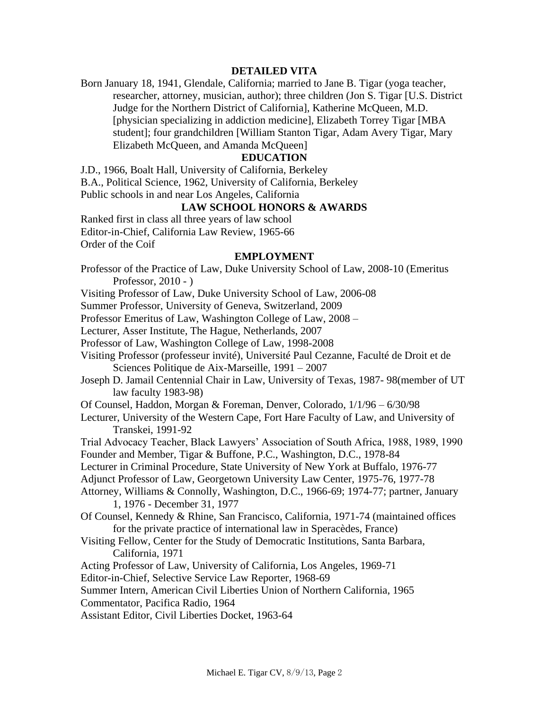### **DETAILED VITA**

Born January 18, 1941, Glendale, California; married to Jane B. Tigar (yoga teacher, researcher, attorney, musician, author); three children (Jon S. Tigar [U.S. District Judge for the Northern District of California], Katherine McQueen, M.D. [physician specializing in addiction medicine], Elizabeth Torrey Tigar [MBA student]; four grandchildren [William Stanton Tigar, Adam Avery Tigar, Mary Elizabeth McQueen, and Amanda McQueen]

## **EDUCATION**

J.D., 1966, Boalt Hall, University of California, Berkeley B.A., Political Science, 1962, University of California, Berkeley Public schools in and near Los Angeles, California

# **LAW SCHOOL HONORS & AWARDS**

Ranked first in class all three years of law school Editor-in-Chief, California Law Review, 1965-66 Order of the Coif

#### **EMPLOYMENT**

- Professor of the Practice of Law, Duke University School of Law, 2008-10 (Emeritus Professor, 2010 - )
- Visiting Professor of Law, Duke University School of Law, 2006-08
- Summer Professor, University of Geneva, Switzerland, 2009
- Professor Emeritus of Law, Washington College of Law, 2008 –
- Lecturer, Asser Institute, The Hague, Netherlands, 2007
- Professor of Law, Washington College of Law, 1998-2008
- Visiting Professor (professeur invité), Université Paul Cezanne, Faculté de Droit et de Sciences Politique de Aix-Marseille, 1991 – 2007
- Joseph D. Jamail Centennial Chair in Law, University of Texas, 1987- 98(member of UT law faculty 1983-98)
- Of Counsel, Haddon, Morgan & Foreman, Denver, Colorado, 1/1/96 6/30/98
- Lecturer, University of the Western Cape, Fort Hare Faculty of Law, and University of Transkei, 1991-92
- Trial Advocacy Teacher, Black Lawyers' Association of South Africa, 1988, 1989, 1990 Founder and Member, Tigar & Buffone, P.C., Washington, D.C., 1978-84
- Lecturer in Criminal Procedure, State University of New York at Buffalo, 1976-77
- Adjunct Professor of Law, Georgetown University Law Center, 1975-76, 1977-78
- Attorney, Williams & Connolly, Washington, D.C., 1966-69; 1974-77; partner, January 1, 1976 - December 31, 1977
- Of Counsel, Kennedy & Rhine, San Francisco, California, 1971-74 (maintained offices for the private practice of international law in Speracèdes, France)
- Visiting Fellow, Center for the Study of Democratic Institutions, Santa Barbara, California, 1971
- Acting Professor of Law, University of California, Los Angeles, 1969-71
- Editor-in-Chief, Selective Service Law Reporter, 1968-69

Summer Intern, American Civil Liberties Union of Northern California, 1965

- Commentator, Pacifica Radio, 1964
- Assistant Editor, Civil Liberties Docket, 1963-64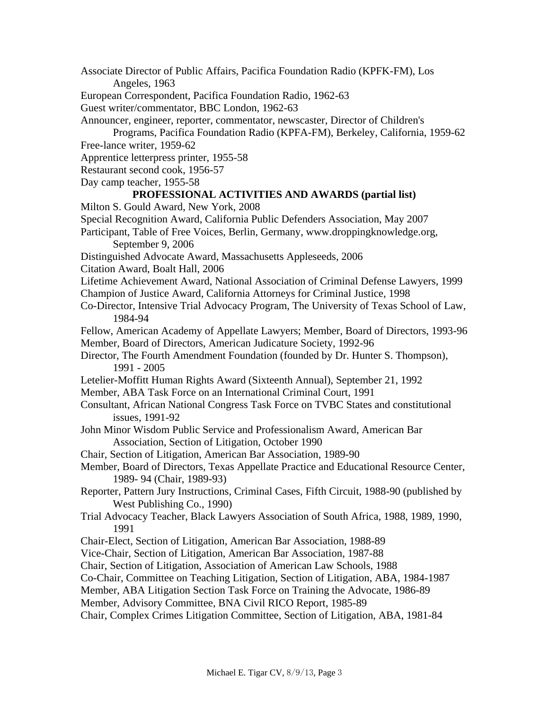Associate Director of Public Affairs, Pacifica Foundation Radio (KPFK-FM), Los Angeles, 1963 European Correspondent, Pacifica Foundation Radio, 1962-63 Guest writer/commentator, BBC London, 1962-63 Announcer, engineer, reporter, commentator, newscaster, Director of Children's Programs, Pacifica Foundation Radio (KPFA-FM), Berkeley, California, 1959-62 Free-lance writer, 1959-62 Apprentice letterpress printer, 1955-58 Restaurant second cook, 1956-57 Day camp teacher, 1955-58 **PROFESSIONAL ACTIVITIES AND AWARDS (partial list)** Milton S. Gould Award, New York, 2008 Special Recognition Award, California Public Defenders Association, May 2007 Participant, Table of Free Voices, Berlin, Germany, www.droppingknowledge.org, September 9, 2006 Distinguished Advocate Award, Massachusetts Appleseeds, 2006 Citation Award, Boalt Hall, 2006 Lifetime Achievement Award, National Association of Criminal Defense Lawyers, 1999 Champion of Justice Award, California Attorneys for Criminal Justice, 1998 Co-Director, Intensive Trial Advocacy Program, The University of Texas School of Law, 1984-94 Fellow, American Academy of Appellate Lawyers; Member, Board of Directors, 1993-96 Member, Board of Directors, American Judicature Society, 1992-96 Director, The Fourth Amendment Foundation (founded by Dr. Hunter S. Thompson), 1991 - 2005 Letelier-Moffitt Human Rights Award (Sixteenth Annual), September 21, 1992 Member, ABA Task Force on an International Criminal Court, 1991 Consultant, African National Congress Task Force on TVBC States and constitutional issues, 1991-92 John Minor Wisdom Public Service and Professionalism Award, American Bar Association, Section of Litigation, October 1990 Chair, Section of Litigation, American Bar Association, 1989-90 Member, Board of Directors, Texas Appellate Practice and Educational Resource Center, 1989- 94 (Chair, 1989-93) Reporter, Pattern Jury Instructions, Criminal Cases, Fifth Circuit, 1988-90 (published by West Publishing Co., 1990) Trial Advocacy Teacher, Black Lawyers Association of South Africa, 1988, 1989, 1990, 1991 Chair-Elect, Section of Litigation, American Bar Association, 1988-89 Vice-Chair, Section of Litigation, American Bar Association, 1987-88 Chair, Section of Litigation, Association of American Law Schools, 1988 Co-Chair, Committee on Teaching Litigation, Section of Litigation, ABA, 1984-1987 Member, ABA Litigation Section Task Force on Training the Advocate, 1986-89 Member, Advisory Committee, BNA Civil RICO Report, 1985-89 Chair, Complex Crimes Litigation Committee, Section of Litigation, ABA, 1981-84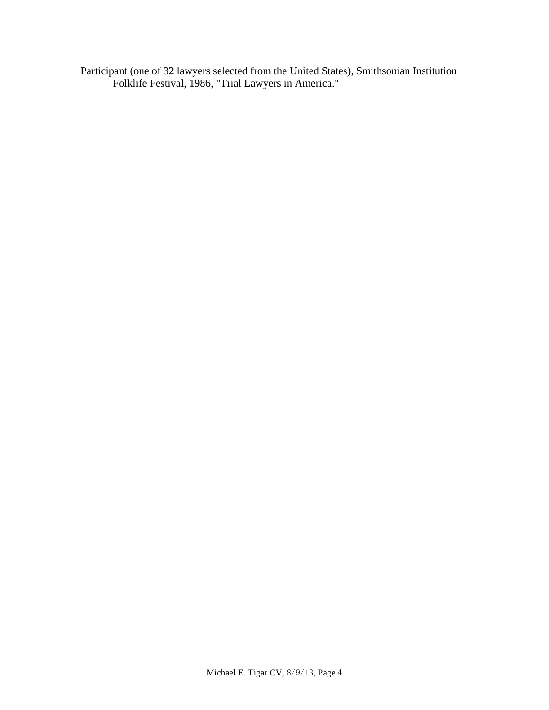Participant (one of 32 lawyers selected from the United States), Smithsonian Institution Folklife Festival, 1986, "Trial Lawyers in America."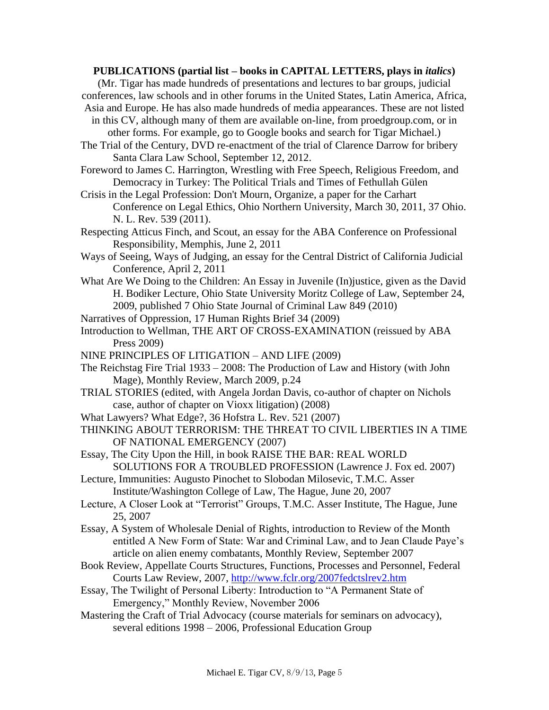### **PUBLICATIONS (partial list – books in CAPITAL LETTERS, plays in** *italics***)**

(Mr. Tigar has made hundreds of presentations and lectures to bar groups, judicial conferences, law schools and in other forums in the United States, Latin America, Africa, Asia and Europe. He has also made hundreds of media appearances. These are not listed

in this CV, although many of them are available on-line, from proedgroup.com, or in other forms. For example, go to Google books and search for Tigar Michael.)

The Trial of the Century, DVD re-enactment of the trial of Clarence Darrow for bribery Santa Clara Law School, September 12, 2012.

Foreword to James C. Harrington, Wrestling with Free Speech, Religious Freedom, and Democracy in Turkey: The Political Trials and Times of Fethullah Gülen

Crisis in the Legal Profession: Don't Mourn, Organize, a paper for the Carhart Conference on Legal Ethics, Ohio Northern University, March 30, 2011, 37 Ohio. N. L. Rev. 539 (2011).

Respecting Atticus Finch, and Scout, an essay for the ABA Conference on Professional Responsibility, Memphis, June 2, 2011

- Ways of Seeing, Ways of Judging, an essay for the Central District of California Judicial Conference, April 2, 2011
- What Are We Doing to the Children: An Essay in Juvenile (In)justice, given as the David H. Bodiker Lecture, Ohio State University Moritz College of Law, September 24, 2009, published 7 Ohio State Journal of Criminal Law 849 (2010)

Narratives of Oppression, 17 Human Rights Brief 34 (2009)

Introduction to Wellman, THE ART OF CROSS-EXAMINATION (reissued by ABA Press 2009)

NINE PRINCIPLES OF LITIGATION – AND LIFE (2009)

- The Reichstag Fire Trial 1933 2008: The Production of Law and History (with John Mage), Monthly Review, March 2009, p.24
- TRIAL STORIES (edited, with Angela Jordan Davis, co-author of chapter on Nichols case, author of chapter on Vioxx litigation) (2008)
- What Lawyers? What Edge?, 36 Hofstra L. Rev. 521 (2007)
- THINKING ABOUT TERRORISM: THE THREAT TO CIVIL LIBERTIES IN A TIME OF NATIONAL EMERGENCY (2007)
- Essay, The City Upon the Hill, in book RAISE THE BAR: REAL WORLD SOLUTIONS FOR A TROUBLED PROFESSION (Lawrence J. Fox ed. 2007)
- Lecture, Immunities: Augusto Pinochet to Slobodan Milosevic, T.M.C. Asser Institute/Washington College of Law, The Hague, June 20, 2007
- Lecture, A Closer Look at "Terrorist" Groups, T.M.C. Asser Institute, The Hague, June 25, 2007
- Essay, A System of Wholesale Denial of Rights, introduction to Review of the Month entitled A New Form of State: War and Criminal Law, and to Jean Claude Paye's article on alien enemy combatants, Monthly Review, September 2007
- Book Review, Appellate Courts Structures, Functions, Processes and Personnel, Federal Courts Law Review, 2007,<http://www.fclr.org/2007fedctslrev2.htm>
- Essay, The Twilight of Personal Liberty: Introduction to "A Permanent State of Emergency," Monthly Review, November 2006
- Mastering the Craft of Trial Advocacy (course materials for seminars on advocacy), several editions 1998 – 2006, Professional Education Group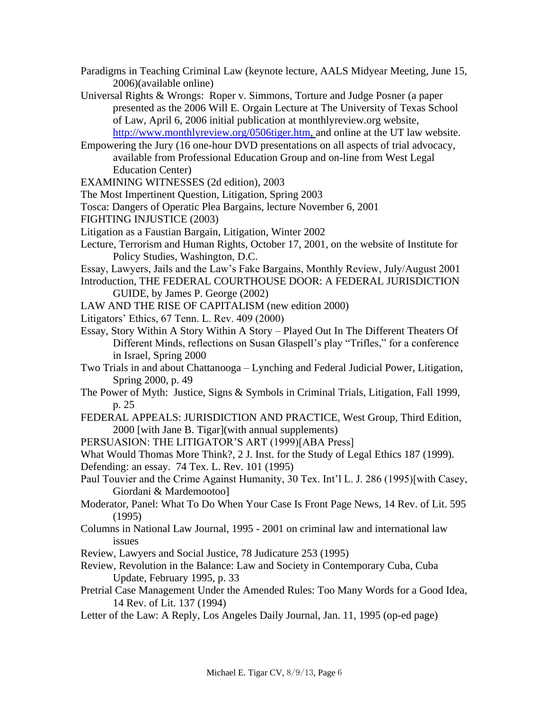- Paradigms in Teaching Criminal Law (keynote lecture, AALS Midyear Meeting, June 15, 2006)(available online)
- Universal Rights & Wrongs: Roper v. Simmons, Torture and Judge Posner (a paper presented as the 2006 Will E. Orgain Lecture at The University of Texas School of Law, April 6, 2006 initial publication at monthlyreview.org website, http://www.monthlyreview.org/0506tiger.htm, and online at the UT law website.
- Empowering the Jury (16 one-hour DVD presentations on all aspects of trial advocacy, available from Professional Education Group and on-line from West Legal Education Center)
- EXAMINING WITNESSES (2d edition), 2003
- The Most Impertinent Question, Litigation, Spring 2003
- Tosca: Dangers of Operatic Plea Bargains, lecture November 6, 2001
- FIGHTING INJUSTICE (2003)
- Litigation as a Faustian Bargain, Litigation, Winter 2002
- Lecture, Terrorism and Human Rights, October 17, 2001, on the website of Institute for Policy Studies, Washington, D.C.
- Essay, Lawyers, Jails and the Law's Fake Bargains, Monthly Review, July/August 2001 Introduction, THE FEDERAL COURTHOUSE DOOR: A FEDERAL JURISDICTION
	- GUIDE, by James P. George (2002)
- LAW AND THE RISE OF CAPITALISM (new edition 2000)
- Litigators' Ethics, 67 Tenn. L. Rev. 409 (2000)
- Essay, Story Within A Story Within A Story Played Out In The Different Theaters Of Different Minds, reflections on Susan Glaspell's play "Trifles," for a conference in Israel, Spring 2000
- Two Trials in and about Chattanooga Lynching and Federal Judicial Power, Litigation, Spring 2000, p. 49
- The Power of Myth: Justice, Signs & Symbols in Criminal Trials, Litigation, Fall 1999, p. 25
- FEDERAL APPEALS: JURISDICTION AND PRACTICE, West Group, Third Edition, 2000 [with Jane B. Tigar](with annual supplements)
- PERSUASION: THE LITIGATOR'S ART (1999)[ABA Press]

What Would Thomas More Think?, 2 J. Inst. for the Study of Legal Ethics 187 (1999).

- Defending: an essay. 74 Tex. L. Rev. 101 (1995)
- Paul Touvier and the Crime Against Humanity, 30 Tex. Int'l L. J. 286 (1995)[with Casey, Giordani & Mardemootoo]
- Moderator, Panel: What To Do When Your Case Is Front Page News, 14 Rev. of Lit. 595 (1995)
- Columns in National Law Journal, 1995 2001 on criminal law and international law issues
- Review, Lawyers and Social Justice, 78 Judicature 253 (1995)
- Review, Revolution in the Balance: Law and Society in Contemporary Cuba, Cuba Update, February 1995, p. 33
- Pretrial Case Management Under the Amended Rules: Too Many Words for a Good Idea, 14 Rev. of Lit. 137 (1994)
- Letter of the Law: A Reply, Los Angeles Daily Journal, Jan. 11, 1995 (op-ed page)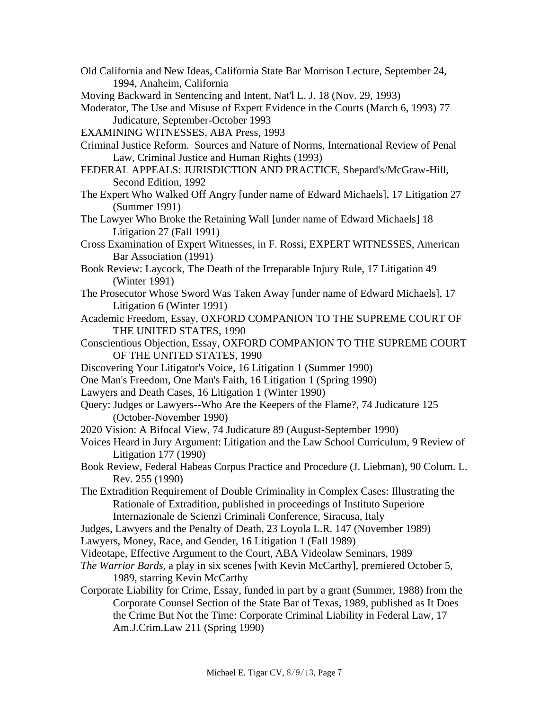- Old California and New Ideas, California State Bar Morrison Lecture, September 24, 1994, Anaheim, California
- Moving Backward in Sentencing and Intent, Nat'l L. J. 18 (Nov. 29, 1993)
- Moderator, The Use and Misuse of Expert Evidence in the Courts (March 6, 1993) 77 Judicature, September-October 1993
- EXAMINING WITNESSES, ABA Press, 1993
- Criminal Justice Reform. Sources and Nature of Norms, International Review of Penal Law, Criminal Justice and Human Rights (1993)
- FEDERAL APPEALS: JURISDICTION AND PRACTICE, Shepard's/McGraw-Hill, Second Edition, 1992
- The Expert Who Walked Off Angry [under name of Edward Michaels], 17 Litigation 27 (Summer 1991)
- The Lawyer Who Broke the Retaining Wall [under name of Edward Michaels] 18 Litigation 27 (Fall 1991)
- Cross Examination of Expert Witnesses, in F. Rossi, EXPERT WITNESSES, American Bar Association (1991)
- Book Review: Laycock, The Death of the Irreparable Injury Rule, 17 Litigation 49 (Winter 1991)
- The Prosecutor Whose Sword Was Taken Away [under name of Edward Michaels], 17 Litigation 6 (Winter 1991)
- Academic Freedom, Essay, OXFORD COMPANION TO THE SUPREME COURT OF THE UNITED STATES, 1990
- Conscientious Objection, Essay, OXFORD COMPANION TO THE SUPREME COURT OF THE UNITED STATES, 1990
- Discovering Your Litigator's Voice, 16 Litigation 1 (Summer 1990)
- One Man's Freedom, One Man's Faith, 16 Litigation 1 (Spring 1990)
- Lawyers and Death Cases, 16 Litigation 1 (Winter 1990)
- Query: Judges or Lawyers--Who Are the Keepers of the Flame?, 74 Judicature 125 (October-November 1990)
- 2020 Vision: A Bifocal View, 74 Judicature 89 (August-September 1990)
- Voices Heard in Jury Argument: Litigation and the Law School Curriculum, 9 Review of Litigation 177 (1990)
- Book Review, Federal Habeas Corpus Practice and Procedure (J. Liebman), 90 Colum. L. Rev. 255 (1990)
- The Extradition Requirement of Double Criminality in Complex Cases: Illustrating the Rationale of Extradition, published in proceedings of Instituto Superiore Internazionale de Scienzi Criminali Conference, Siracusa, Italy
- Judges, Lawyers and the Penalty of Death, 23 Loyola L.R. 147 (November 1989)
- Lawyers, Money, Race, and Gender, 16 Litigation 1 (Fall 1989)
- Videotape, Effective Argument to the Court, ABA Videolaw Seminars, 1989
- *The Warrior Bards*, a play in six scenes [with Kevin McCarthy], premiered October 5, 1989, starring Kevin McCarthy
- Corporate Liability for Crime, Essay, funded in part by a grant (Summer, 1988) from the Corporate Counsel Section of the State Bar of Texas, 1989, published as It Does the Crime But Not the Time: Corporate Criminal Liability in Federal Law, 17 Am.J.Crim.Law 211 (Spring 1990)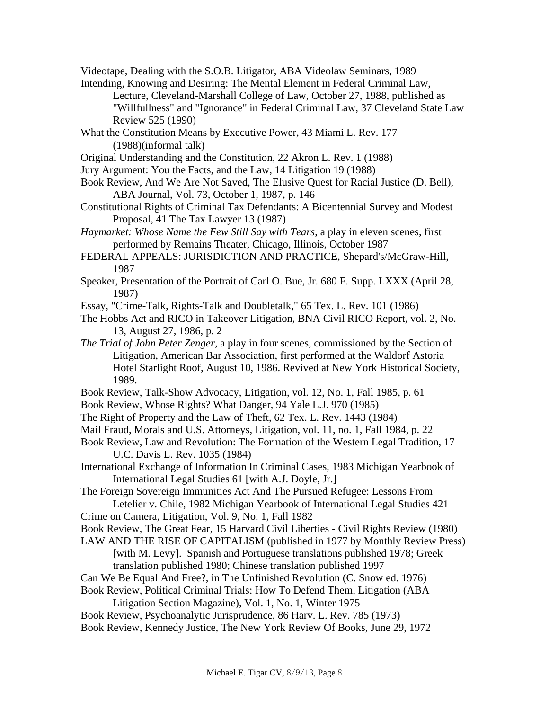Videotape, Dealing with the S.O.B. Litigator, ABA Videolaw Seminars, 1989

Intending, Knowing and Desiring: The Mental Element in Federal Criminal Law, Lecture, Cleveland-Marshall College of Law, October 27, 1988, published as "Willfullness" and "Ignorance" in Federal Criminal Law, 37 Cleveland State Law Review 525 (1990)

- What the Constitution Means by Executive Power, 43 Miami L. Rev. 177 (1988)(informal talk)
- Original Understanding and the Constitution, 22 Akron L. Rev. 1 (1988)
- Jury Argument: You the Facts, and the Law, 14 Litigation 19 (1988)
- Book Review, And We Are Not Saved, The Elusive Quest for Racial Justice (D. Bell), ABA Journal, Vol. 73, October 1, 1987, p. 146
- Constitutional Rights of Criminal Tax Defendants: A Bicentennial Survey and Modest Proposal, 41 The Tax Lawyer 13 (1987)
- *Haymarket: Whose Name the Few Still Say with Tears*, a play in eleven scenes, first performed by Remains Theater, Chicago, Illinois, October 1987
- FEDERAL APPEALS: JURISDICTION AND PRACTICE, Shepard's/McGraw-Hill, 1987
- Speaker, Presentation of the Portrait of Carl O. Bue, Jr. 680 F. Supp. LXXX (April 28, 1987)
- Essay, "Crime-Talk, Rights-Talk and Doubletalk," 65 Tex. L. Rev. 101 (1986)
- The Hobbs Act and RICO in Takeover Litigation, BNA Civil RICO Report, vol. 2, No. 13, August 27, 1986, p. 2
- *The Trial of John Peter Zenger*, a play in four scenes, commissioned by the Section of Litigation, American Bar Association, first performed at the Waldorf Astoria Hotel Starlight Roof, August 10, 1986. Revived at New York Historical Society, 1989.
- Book Review, Talk-Show Advocacy, Litigation, vol. 12, No. 1, Fall 1985, p. 61
- Book Review, Whose Rights? What Danger, 94 Yale L.J. 970 (1985)
- The Right of Property and the Law of Theft, 62 Tex. L. Rev. 1443 (1984)
- Mail Fraud, Morals and U.S. Attorneys, Litigation, vol. 11, no. 1, Fall 1984, p. 22
- Book Review, Law and Revolution: The Formation of the Western Legal Tradition, 17 U.C. Davis L. Rev. 1035 (1984)
- International Exchange of Information In Criminal Cases, 1983 Michigan Yearbook of International Legal Studies 61 [with A.J. Doyle, Jr.]

The Foreign Sovereign Immunities Act And The Pursued Refugee: Lessons From Letelier v. Chile, 1982 Michigan Yearbook of International Legal Studies 421

- Crime on Camera, Litigation, Vol. 9, No. 1, Fall 1982
- Book Review, The Great Fear, 15 Harvard Civil Liberties Civil Rights Review (1980)
- LAW AND THE RISE OF CAPITALISM (published in 1977 by Monthly Review Press) [with M. Levy]. Spanish and Portuguese translations published 1978; Greek translation published 1980; Chinese translation published 1997
- Can We Be Equal And Free?, in The Unfinished Revolution (C. Snow ed. 1976)
- Book Review, Political Criminal Trials: How To Defend Them, Litigation (ABA
	- Litigation Section Magazine), Vol. 1, No. 1, Winter 1975
- Book Review, Psychoanalytic Jurisprudence, 86 Harv. L. Rev. 785 (1973)
- Book Review, Kennedy Justice, The New York Review Of Books, June 29, 1972